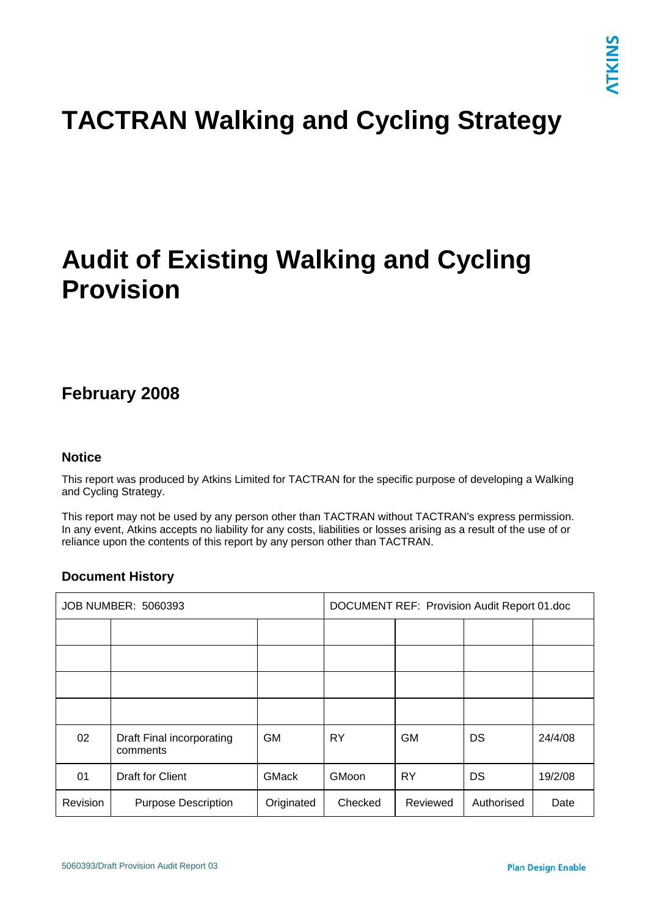# **TACTRAN Walking and Cycling Strategy**

# **Audit of Existing Walking and Cycling Provision**

# **February 2008**

## **Notice**

This report was produced by Atkins Limited for TACTRAN for the specific purpose of developing a Walking and Cycling Strategy.

This report may not be used by any person other than TACTRAN without TACTRAN's express permission. In any event, Atkins accepts no liability for any costs, liabilities or losses arising as a result of the use of or reliance upon the contents of this report by any person other than TACTRAN.

# **Document History**

| JOB NUMBER: 5060393 |                                       | DOCUMENT REF: Provision Audit Report 01.doc |         |           |            |         |
|---------------------|---------------------------------------|---------------------------------------------|---------|-----------|------------|---------|
|                     |                                       |                                             |         |           |            |         |
|                     |                                       |                                             |         |           |            |         |
|                     |                                       |                                             |         |           |            |         |
|                     |                                       |                                             |         |           |            |         |
| 02                  | Draft Final incorporating<br>comments | <b>GM</b>                                   | RY      | <b>GM</b> | DS         | 24/4/08 |
| 01                  | <b>Draft for Client</b>               | <b>GMack</b>                                | GMoon   | <b>RY</b> | DS         | 19/2/08 |
| Revision            | <b>Purpose Description</b>            | Originated                                  | Checked | Reviewed  | Authorised | Date    |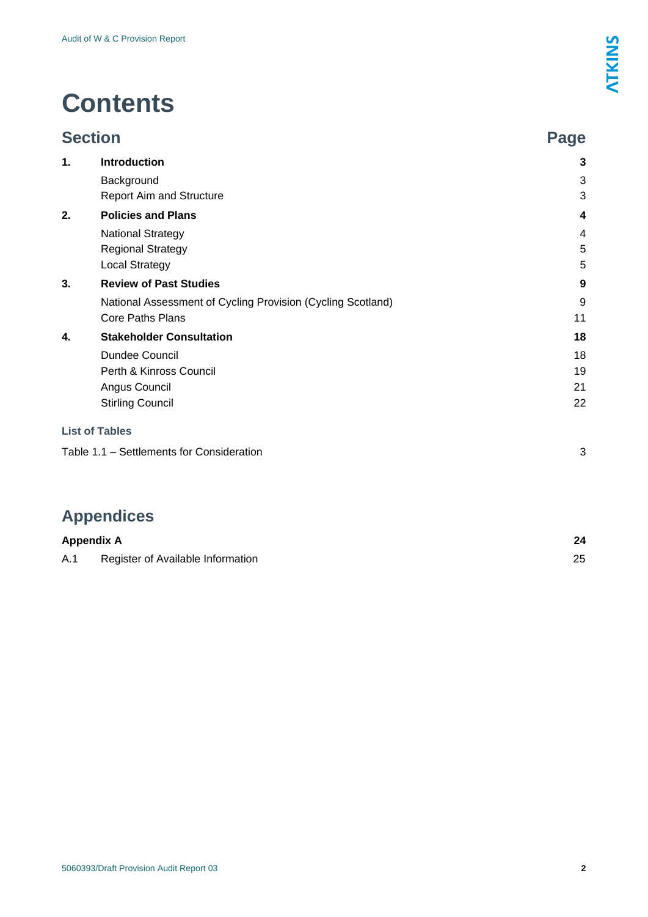# **Contents**

| <b>Section</b> |                                                             | Page |
|----------------|-------------------------------------------------------------|------|
| 1.             | <b>Introduction</b>                                         | 3    |
|                | Background                                                  | 3    |
|                | <b>Report Aim and Structure</b>                             | 3    |
| 2.             | <b>Policies and Plans</b>                                   | 4    |
|                | <b>National Strategy</b>                                    | 4    |
|                | <b>Regional Strategy</b>                                    | 5    |
|                | <b>Local Strategy</b>                                       | 5    |
| 3.             | <b>Review of Past Studies</b>                               | 9    |
|                | National Assessment of Cycling Provision (Cycling Scotland) | 9    |
|                | <b>Core Paths Plans</b>                                     | 11   |
| 4.             | <b>Stakeholder Consultation</b>                             | 18   |
|                | Dundee Council                                              | 18   |
|                | Perth & Kinross Council                                     | 19   |
|                | Angus Council                                               | 21   |
|                | <b>Stirling Council</b>                                     | 22   |
|                | <b>List of Tables</b>                                       |      |
|                | Table 1.1 - Settlements for Consideration                   | 3    |

# **Appendices**

| <b>Appendix A</b> |                                   |  |
|-------------------|-----------------------------------|--|
| A.1               | Register of Available Information |  |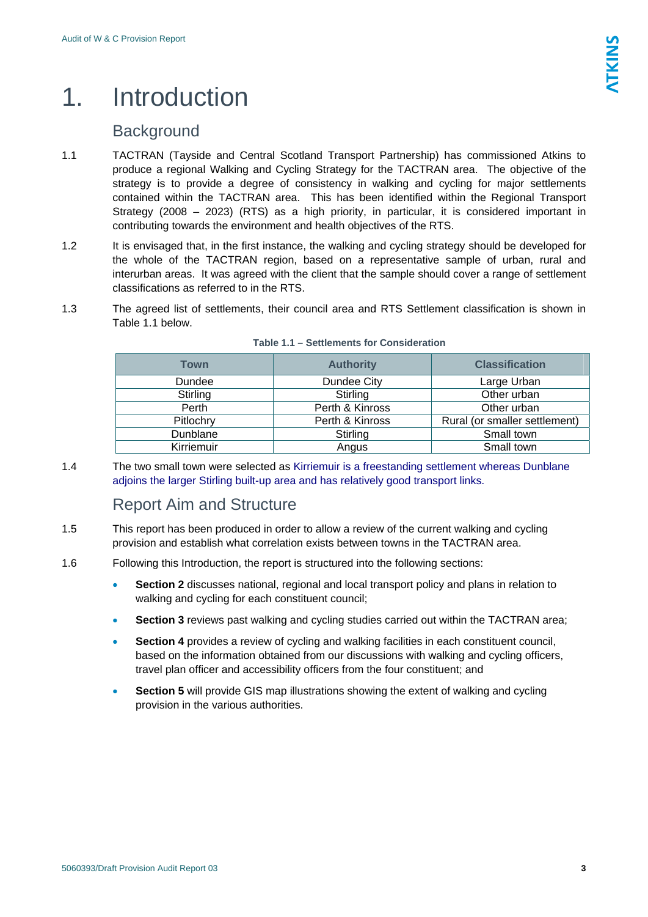# <span id="page-2-0"></span>1. Introduction

# **Background**

- 1.1 TACTRAN (Tayside and Central Scotland Transport Partnership) has commissioned Atkins to produce a regional Walking and Cycling Strategy for the TACTRAN area. The objective of the strategy is to provide a degree of consistency in walking and cycling for major settlements contained within the TACTRAN area. This has been identified within the Regional Transport Strategy (2008 – 2023) (RTS) as a high priority, in particular, it is considered important in contributing towards the environment and health objectives of the RTS.
- 1.2 It is envisaged that, in the first instance, the walking and cycling strategy should be developed for the whole of the TACTRAN region, based on a representative sample of urban, rural and interurban areas. It was agreed with the client that the sample should cover a range of settlement classifications as referred to in the RTS.
- 1.3 The agreed list of settlements, their council area and RTS Settlement classification is shown in Table 1.1 below.

| <b>Town</b> | <b>Authority</b> |                               |  |
|-------------|------------------|-------------------------------|--|
| Dundee      | Dundee City      | Large Urban                   |  |
| Stirling    | Stirling         | Other urban<br>Other urban    |  |
| Perth       | Perth & Kinross  |                               |  |
| Pitlochry   | Perth & Kinross  | Rural (or smaller settlement) |  |
| Dunblane    | Stirling         | Small town                    |  |
| Kirriemuir  | Angus            | Small town                    |  |

#### **Table 1.1 – Settlements for Consideration**

1.4 The two small town were selected as Kirriemuir is a freestanding settlement whereas Dunblane adioins the larger Stirling built-up area and has relatively good transport links.

# Report Aim and Structure

- 1.5 This report has been produced in order to allow a review of the current walking and cycling provision and establish what correlation exists between towns in the TACTRAN area.
- 1.6 Following this Introduction, the report is structured into the following sections:
	- **Section 2** discusses national, regional and local transport policy and plans in relation to walking and cycling for each constituent council;
	- **Section 3** reviews past walking and cycling studies carried out within the TACTRAN area;
	- **Section 4** provides a review of cycling and walking facilities in each constituent council, based on the information obtained from our discussions with walking and cycling officers, travel plan officer and accessibility officers from the four constituent; and
	- **Section 5** will provide GIS map illustrations showing the extent of walking and cycling provision in the various authorities.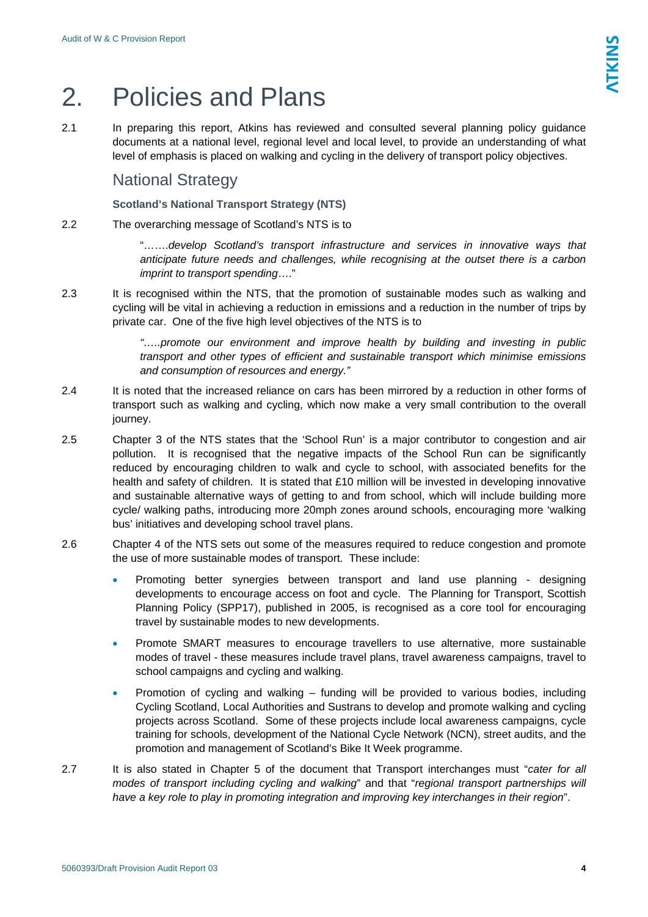# <span id="page-3-0"></span>2. Policies and Plans

2.1 In preparing this report, Atkins has reviewed and consulted several planning policy guidance documents at a national level, regional level and local level, to provide an understanding of what level of emphasis is placed on walking and cycling in the delivery of transport policy objectives.

# National Strategy

## **Scotland's National Transport Strategy (NTS)**

2.2 The overarching message of Scotland's NTS is to

"…….*develop Scotland's transport infrastructure and services in innovative ways that anticipate future needs and challenges, while recognising at the outset there is a carbon imprint to transport spending*…."

2.3 It is recognised within the NTS, that the promotion of sustainable modes such as walking and cycling will be vital in achieving a reduction in emissions and a reduction in the number of trips by private car. One of the five high level objectives of the NTS is to

> *"…..promote our environment and improve health by building and investing in public transport and other types of efficient and sustainable transport which minimise emissions and consumption of resources and energy."*

- 2.4 It is noted that the increased reliance on cars has been mirrored by a reduction in other forms of transport such as walking and cycling, which now make a very small contribution to the overall journey.
- 2.5 Chapter 3 of the NTS states that the 'School Run' is a major contributor to congestion and air pollution. It is recognised that the negative impacts of the School Run can be significantly reduced by encouraging children to walk and cycle to school, with associated benefits for the health and safety of children. It is stated that £10 million will be invested in developing innovative and sustainable alternative ways of getting to and from school, which will include building more cycle/ walking paths, introducing more 20mph zones around schools, encouraging more 'walking bus' initiatives and developing school travel plans.
- 2.6 Chapter 4 of the NTS sets out some of the measures required to reduce congestion and promote the use of more sustainable modes of transport. These include:
	- Promoting better synergies between transport and land use planning designing developments to encourage access on foot and cycle. The Planning for Transport, Scottish Planning Policy (SPP17), published in 2005, is recognised as a core tool for encouraging travel by sustainable modes to new developments.
	- Promote SMART measures to encourage travellers to use alternative, more sustainable modes of travel - these measures include travel plans, travel awareness campaigns, travel to school campaigns and cycling and walking.
	- Promotion of cycling and walking funding will be provided to various bodies, including Cycling Scotland, Local Authorities and Sustrans to develop and promote walking and cycling projects across Scotland. Some of these projects include local awareness campaigns, cycle training for schools, development of the National Cycle Network (NCN), street audits, and the promotion and management of Scotland's Bike It Week programme.
- 2.7 It is also stated in Chapter 5 of the document that Transport interchanges must "*cater for all modes of transport including cycling and walking*" and that "*regional transport partnerships will have a key role to play in promoting integration and improving key interchanges in their region*".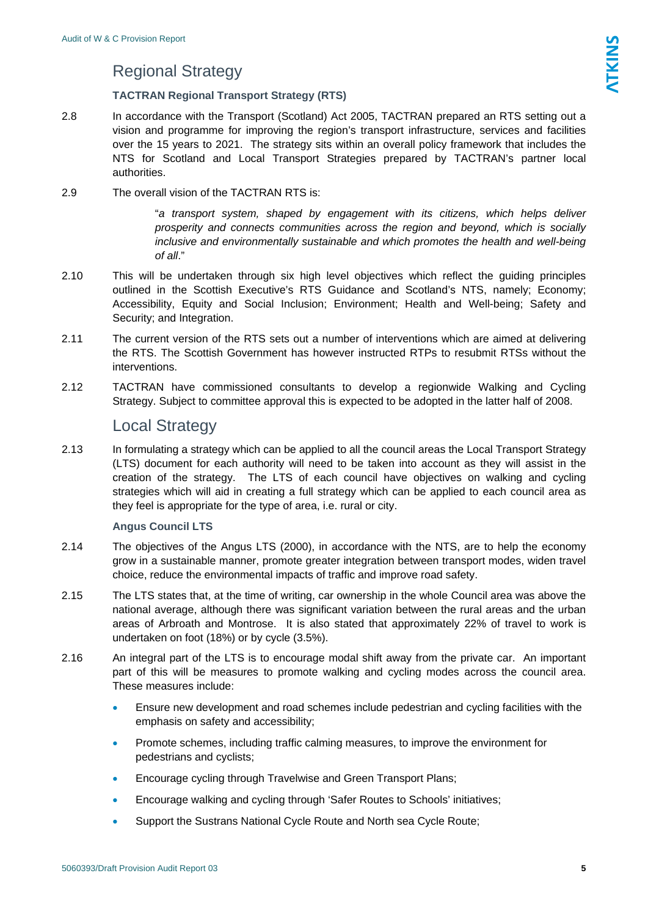# Regional Strategy

## **TACTRAN Regional Transport Strategy (RTS)**

- <span id="page-4-0"></span>2.8 In accordance with the Transport (Scotland) Act 2005, TACTRAN prepared an RTS setting out a vision and programme for improving the region's transport infrastructure, services and facilities over the 15 years to 2021. The strategy sits within an overall policy framework that includes the NTS for Scotland and Local Transport Strategies prepared by TACTRAN's partner local authorities.
- 2.9 The overall vision of the TACTRAN RTS is:

"*a transport system, shaped by engagement with its citizens, which helps deliver prosperity and connects communities across the region and beyond, which is socially inclusive and environmentally sustainable and which promotes the health and well-being of all*."

- 2.10 This will be undertaken through six high level objectives which reflect the guiding principles outlined in the Scottish Executive's RTS Guidance and Scotland's NTS, namely; Economy; Accessibility, Equity and Social Inclusion; Environment; Health and Well-being; Safety and Security; and Integration.
- 2.11 The current version of the RTS sets out a number of interventions which are aimed at delivering the RTS. The Scottish Government has however instructed RTPs to resubmit RTSs without the interventions.
- 2.12 TACTRAN have commissioned consultants to develop a regionwide Walking and Cycling Strategy. Subject to committee approval this is expected to be adopted in the latter half of 2008.

# Local Strategy

2.13 In formulating a strategy which can be applied to all the council areas the Local Transport Strategy (LTS) document for each authority will need to be taken into account as they will assist in the creation of the strategy. The LTS of each council have objectives on walking and cycling strategies which will aid in creating a full strategy which can be applied to each council area as they feel is appropriate for the type of area, i.e. rural or city.

## **Angus Council LTS**

- 2.14 The objectives of the Angus LTS (2000), in accordance with the NTS, are to help the economy grow in a sustainable manner, promote greater integration between transport modes, widen travel choice, reduce the environmental impacts of traffic and improve road safety.
- 2.15 The LTS states that, at the time of writing, car ownership in the whole Council area was above the national average, although there was significant variation between the rural areas and the urban areas of Arbroath and Montrose. It is also stated that approximately 22% of travel to work is undertaken on foot (18%) or by cycle (3.5%).
- 2.16 An integral part of the LTS is to encourage modal shift away from the private car. An important part of this will be measures to promote walking and cycling modes across the council area. These measures include:
	- Ensure new development and road schemes include pedestrian and cycling facilities with the emphasis on safety and accessibility;
	- Promote schemes, including traffic calming measures, to improve the environment for pedestrians and cyclists;
	- Encourage cycling through Travelwise and Green Transport Plans;
	- Encourage walking and cycling through 'Safer Routes to Schools' initiatives;
	- Support the Sustrans National Cycle Route and North sea Cycle Route;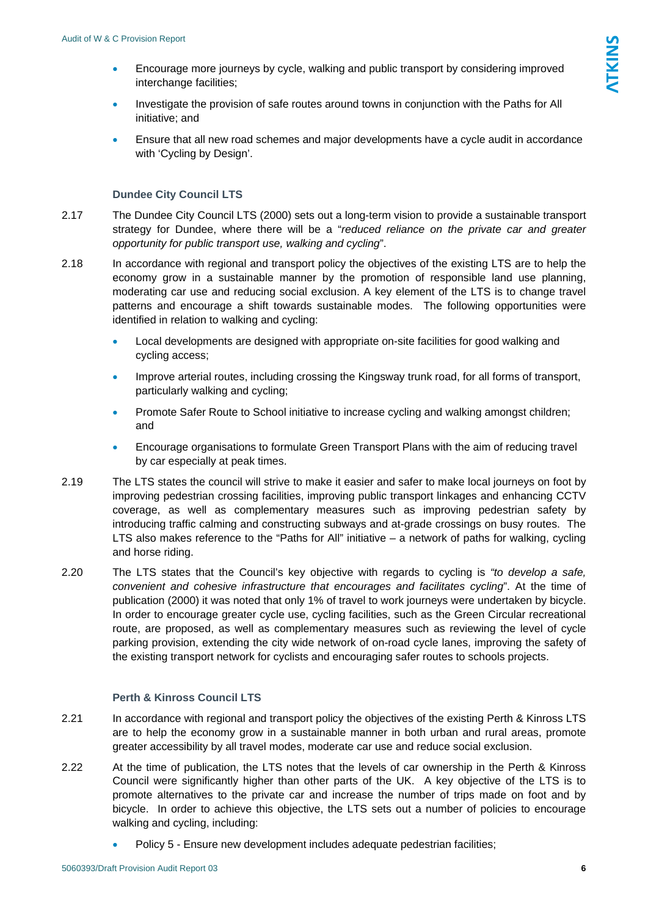- Encourage more journeys by cycle, walking and public transport by considering improved interchange facilities;
- Investigate the provision of safe routes around towns in conjunction with the Paths for All initiative; and
- Ensure that all new road schemes and major developments have a cycle audit in accordance with 'Cycling by Design'.

#### **Dundee City Council LTS**

- 2.17 The Dundee City Council LTS (2000) sets out a long-term vision to provide a sustainable transport strategy for Dundee, where there will be a "*reduced reliance on the private car and greater opportunity for public transport use, walking and cycling*".
- 2.18 In accordance with regional and transport policy the objectives of the existing LTS are to help the economy grow in a sustainable manner by the promotion of responsible land use planning, moderating car use and reducing social exclusion. A key element of the LTS is to change travel patterns and encourage a shift towards sustainable modes. The following opportunities were identified in relation to walking and cycling:
	- Local developments are designed with appropriate on-site facilities for good walking and cycling access;
	- Improve arterial routes, including crossing the Kingsway trunk road, for all forms of transport, particularly walking and cycling;
	- Promote Safer Route to School initiative to increase cycling and walking amongst children; and
	- Encourage organisations to formulate Green Transport Plans with the aim of reducing travel by car especially at peak times.
- 2.19 The LTS states the council will strive to make it easier and safer to make local journeys on foot by improving pedestrian crossing facilities, improving public transport linkages and enhancing CCTV coverage, as well as complementary measures such as improving pedestrian safety by introducing traffic calming and constructing subways and at-grade crossings on busy routes. The LTS also makes reference to the "Paths for All" initiative - a network of paths for walking, cycling and horse riding.
- 2.20 The LTS states that the Council's key objective with regards to cycling is *"to develop a safe, convenient and cohesive infrastructure that encourages and facilitates cycling*". At the time of publication (2000) it was noted that only 1% of travel to work journeys were undertaken by bicycle. In order to encourage greater cycle use, cycling facilities, such as the Green Circular recreational route, are proposed, as well as complementary measures such as reviewing the level of cycle parking provision, extending the city wide network of on-road cycle lanes, improving the safety of the existing transport network for cyclists and encouraging safer routes to schools projects.

#### **Perth & Kinross Council LTS**

- 2.21 In accordance with regional and transport policy the objectives of the existing Perth & Kinross LTS are to help the economy grow in a sustainable manner in both urban and rural areas, promote greater accessibility by all travel modes, moderate car use and reduce social exclusion.
- 2.22 At the time of publication, the LTS notes that the levels of car ownership in the Perth & Kinross Council were significantly higher than other parts of the UK. A key objective of the LTS is to promote alternatives to the private car and increase the number of trips made on foot and by bicycle. In order to achieve this objective, the LTS sets out a number of policies to encourage walking and cycling, including:
	- Policy 5 Ensure new development includes adequate pedestrian facilities;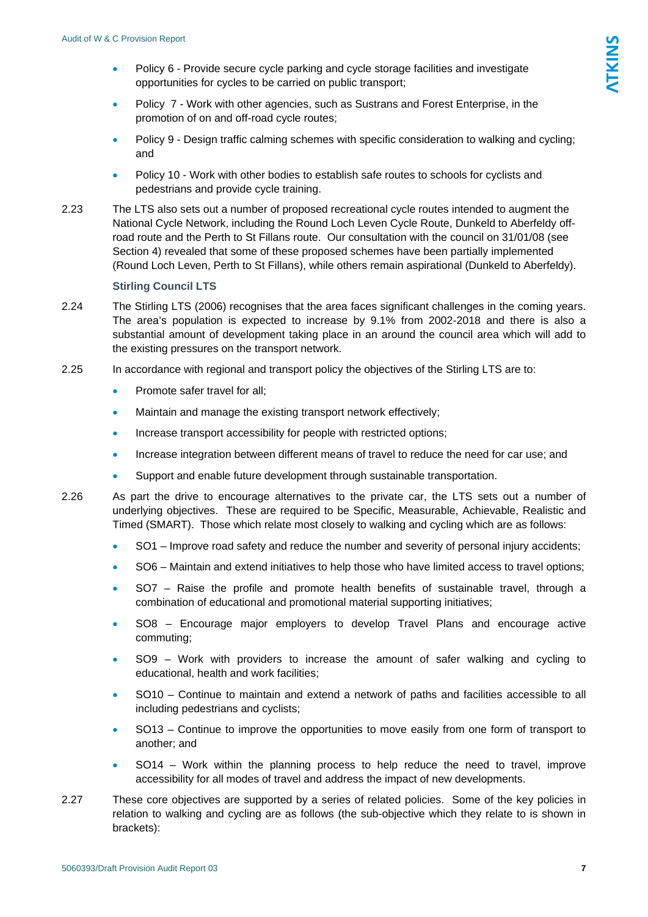- Policy 6 Provide secure cycle parking and cycle storage facilities and investigate opportunities for cycles to be carried on public transport;
- Policy 7 Work with other agencies, such as Sustrans and Forest Enterprise, in the promotion of on and off-road cycle routes;
- Policy 9 Design traffic calming schemes with specific consideration to walking and cycling; and
- Policy 10 Work with other bodies to establish safe routes to schools for cyclists and pedestrians and provide cycle training.
- 2.23 The LTS also sets out a number of proposed recreational cycle routes intended to augment the National Cycle Network, including the Round Loch Leven Cycle Route, Dunkeld to Aberfeldy offroad route and the Perth to St Fillans route. Our consultation with the council on 31/01/08 (see Section 4) revealed that some of these proposed schemes have been partially implemented (Round Loch Leven, Perth to St Fillans), while others remain aspirational (Dunkeld to Aberfeldy).

#### **Stirling Council LTS**

- 2.24 The Stirling LTS (2006) recognises that the area faces significant challenges in the coming years. The area's population is expected to increase by 9.1% from 2002-2018 and there is also a substantial amount of development taking place in an around the council area which will add to the existing pressures on the transport network.
- 2.25 In accordance with regional and transport policy the objectives of the Stirling LTS are to:
	- Promote safer travel for all:
	- Maintain and manage the existing transport network effectively;
	- Increase transport accessibility for people with restricted options;
	- Increase integration between different means of travel to reduce the need for car use; and
	- Support and enable future development through sustainable transportation.
- 2.26 As part the drive to encourage alternatives to the private car, the LTS sets out a number of underlying objectives. These are required to be Specific, Measurable, Achievable, Realistic and Timed (SMART). Those which relate most closely to walking and cycling which are as follows:
	- SO1 Improve road safety and reduce the number and severity of personal injury accidents;
	- SO6 Maintain and extend initiatives to help those who have limited access to travel options;
	- SO7 Raise the profile and promote health benefits of sustainable travel, through a combination of educational and promotional material supporting initiatives;
	- SO8 Encourage major employers to develop Travel Plans and encourage active commuting;
	- SO9 Work with providers to increase the amount of safer walking and cycling to educational, health and work facilities;
	- SO10 Continue to maintain and extend a network of paths and facilities accessible to all including pedestrians and cyclists;
	- SO13 Continue to improve the opportunities to move easily from one form of transport to another; and
	- SO14 Work within the planning process to help reduce the need to travel, improve accessibility for all modes of travel and address the impact of new developments.
- 2.27 These core objectives are supported by a series of related policies. Some of the key policies in relation to walking and cycling are as follows (the sub-objective which they relate to is shown in brackets):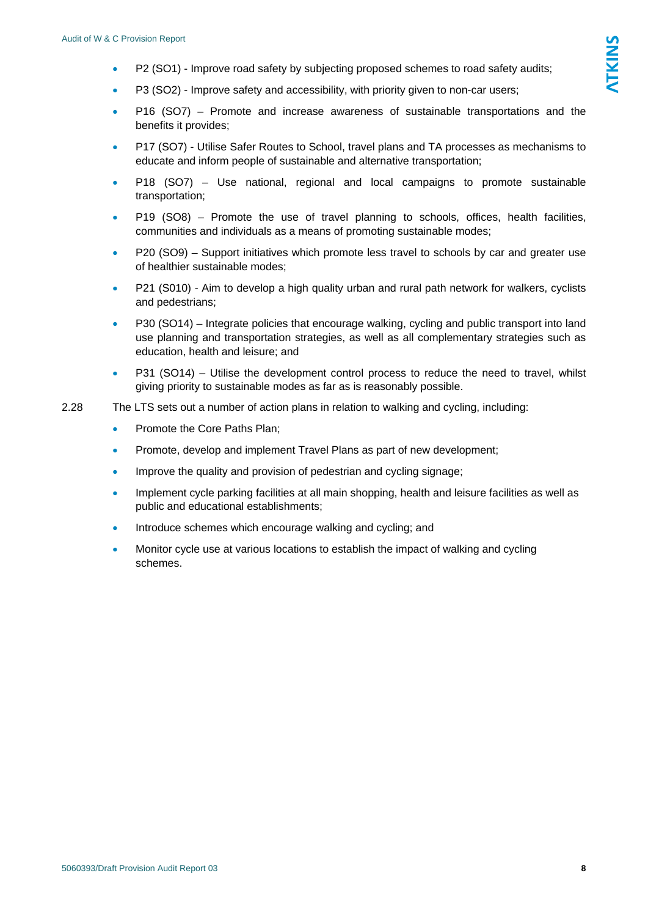- P2 (SO1) Improve road safety by subjecting proposed schemes to road safety audits;
- P3 (SO2) Improve safety and accessibility, with priority given to non-car users;
- P16 (SO7) Promote and increase awareness of sustainable transportations and the benefits it provides;
- P17 (SO7) Utilise Safer Routes to School, travel plans and TA processes as mechanisms to educate and inform people of sustainable and alternative transportation;
- P18 (SO7) Use national, regional and local campaigns to promote sustainable transportation;
- P19 (SO8) Promote the use of travel planning to schools, offices, health facilities, communities and individuals as a means of promoting sustainable modes;
- P20 (SO9) Support initiatives which promote less travel to schools by car and greater use of healthier sustainable modes;
- P21 (S010) Aim to develop a high quality urban and rural path network for walkers, cyclists and pedestrians;
- P30 (SO14) Integrate policies that encourage walking, cycling and public transport into land use planning and transportation strategies, as well as all complementary strategies such as education, health and leisure; and
- P31 (SO14) Utilise the development control process to reduce the need to travel, whilst giving priority to sustainable modes as far as is reasonably possible.
- 2.28 The LTS sets out a number of action plans in relation to walking and cycling, including:
	- Promote the Core Paths Plan;
	- Promote, develop and implement Travel Plans as part of new development;
	- Improve the quality and provision of pedestrian and cycling signage;
	- Implement cycle parking facilities at all main shopping, health and leisure facilities as well as public and educational establishments;
	- Introduce schemes which encourage walking and cycling; and
	- Monitor cycle use at various locations to establish the impact of walking and cycling schemes.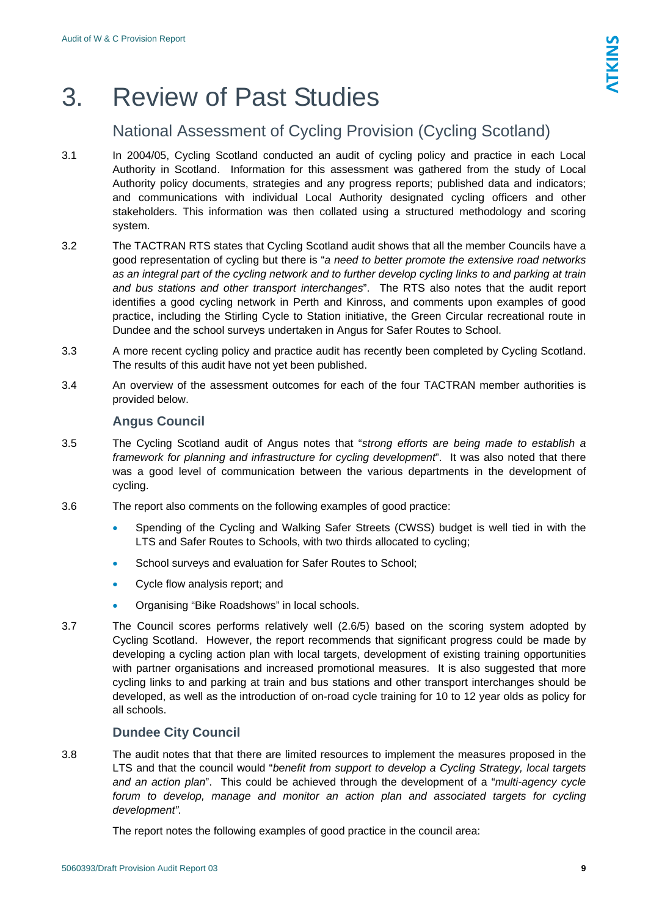# <span id="page-8-0"></span>3. Review of Past Studies

# National Assessment of Cycling Provision (Cycling Scotland)

- 3.1 In 2004/05, Cycling Scotland conducted an audit of cycling policy and practice in each Local Authority in Scotland. Information for this assessment was gathered from the study of Local Authority policy documents, strategies and any progress reports; published data and indicators; and communications with individual Local Authority designated cycling officers and other stakeholders. This information was then collated using a structured methodology and scoring system.
- 3.2 The TACTRAN RTS states that Cycling Scotland audit shows that all the member Councils have a good representation of cycling but there is "*a need to better promote the extensive road networks as an integral part of the cycling network and to further develop cycling links to and parking at train and bus stations and other transport interchanges*". The RTS also notes that the audit report identifies a good cycling network in Perth and Kinross, and comments upon examples of good practice, including the Stirling Cycle to Station initiative, the Green Circular recreational route in Dundee and the school surveys undertaken in Angus for Safer Routes to School.
- 3.3 A more recent cycling policy and practice audit has recently been completed by Cycling Scotland. The results of this audit have not yet been published.
- 3.4 An overview of the assessment outcomes for each of the four TACTRAN member authorities is provided below.

## **Angus Council**

- 3.5 The Cycling Scotland audit of Angus notes that "*strong efforts are being made to establish a framework for planning and infrastructure for cycling development*". It was also noted that there was a good level of communication between the various departments in the development of cycling.
- 3.6 The report also comments on the following examples of good practice:
	- Spending of the Cycling and Walking Safer Streets (CWSS) budget is well tied in with the LTS and Safer Routes to Schools, with two thirds allocated to cycling;
	- School surveys and evaluation for Safer Routes to School;
	- Cycle flow analysis report; and
	- Organising "Bike Roadshows" in local schools.
- 3.7 The Council scores performs relatively well (2.6/5) based on the scoring system adopted by Cycling Scotland. However, the report recommends that significant progress could be made by developing a cycling action plan with local targets, development of existing training opportunities with partner organisations and increased promotional measures. It is also suggested that more cycling links to and parking at train and bus stations and other transport interchanges should be developed, as well as the introduction of on-road cycle training for 10 to 12 year olds as policy for all schools.

# **Dundee City Council**

3.8 The audit notes that that there are limited resources to implement the measures proposed in the LTS and that the council would "*benefit from support to develop a Cycling Strategy, local targets and an action plan*". This could be achieved through the development of a "*multi-agency cycle forum to develop, manage and monitor an action plan and associated targets for cycling development".*

The report notes the following examples of good practice in the council area: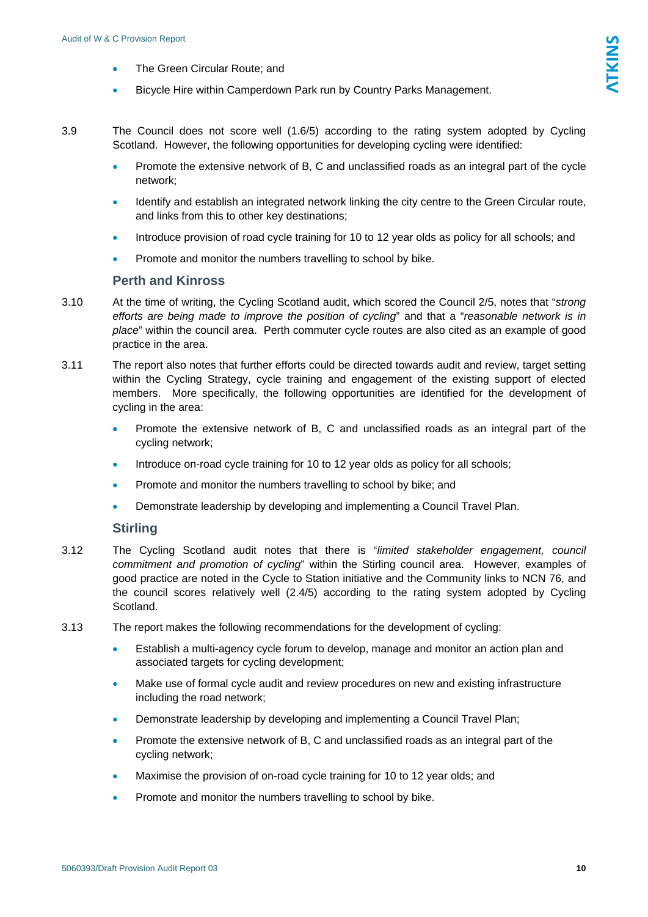- The Green Circular Route; and
- Bicycle Hire within Camperdown Park run by Country Parks Management.
- 3.9 The Council does not score well (1.6/5) according to the rating system adopted by Cycling Scotland. However, the following opportunities for developing cycling were identified:
	- Promote the extensive network of B, C and unclassified roads as an integral part of the cycle network;
	- Identify and establish an integrated network linking the city centre to the Green Circular route, and links from this to other key destinations;
	- Introduce provision of road cycle training for 10 to 12 year olds as policy for all schools; and
	- Promote and monitor the numbers travelling to school by bike.

## **Perth and Kinross**

- 3.10 At the time of writing, the Cycling Scotland audit, which scored the Council 2/5, notes that "*strong efforts are being made to improve the position of cycling*" and that a "*reasonable network is in place*" within the council area. Perth commuter cycle routes are also cited as an example of good practice in the area.
- 3.11 The report also notes that further efforts could be directed towards audit and review, target setting within the Cycling Strategy, cycle training and engagement of the existing support of elected members. More specifically, the following opportunities are identified for the development of cycling in the area:
	- Promote the extensive network of B, C and unclassified roads as an integral part of the cycling network;
	- Introduce on-road cycle training for 10 to 12 year olds as policy for all schools;
	- Promote and monitor the numbers travelling to school by bike; and
	- Demonstrate leadership by developing and implementing a Council Travel Plan.

### **Stirling**

- 3.12 The Cycling Scotland audit notes that there is "*limited stakeholder engagement, council commitment and promotion of cycling*" within the Stirling council area. However, examples of good practice are noted in the Cycle to Station initiative and the Community links to NCN 76, and the council scores relatively well (2.4/5) according to the rating system adopted by Cycling Scotland.
- 3.13 The report makes the following recommendations for the development of cycling:
	- Establish a multi-agency cycle forum to develop, manage and monitor an action plan and associated targets for cycling development;
	- Make use of formal cycle audit and review procedures on new and existing infrastructure including the road network;
	- Demonstrate leadership by developing and implementing a Council Travel Plan;
	- Promote the extensive network of B, C and unclassified roads as an integral part of the cycling network;
	- Maximise the provision of on-road cycle training for 10 to 12 year olds; and
	- Promote and monitor the numbers travelling to school by bike.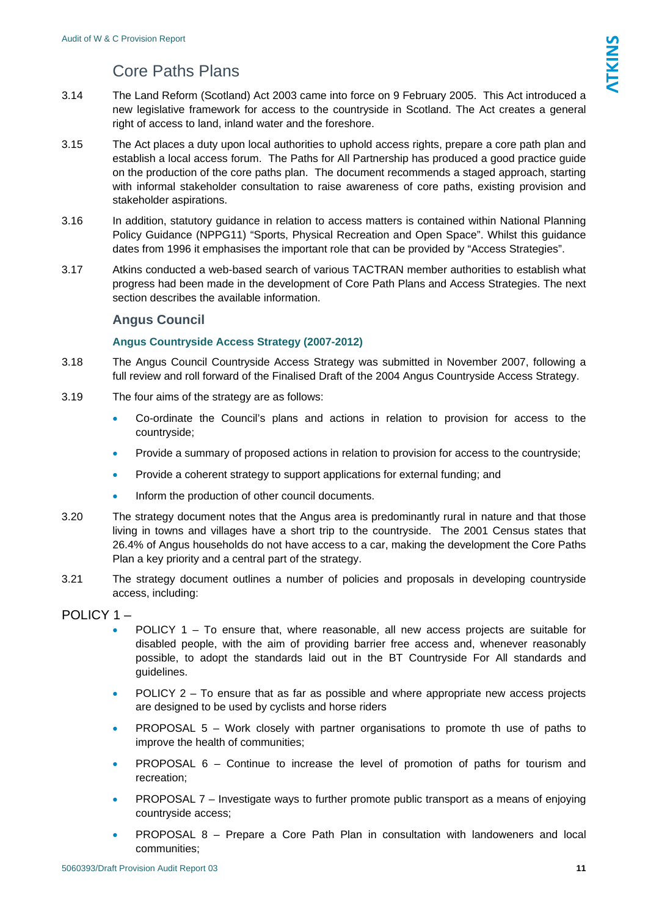# Core Paths Plans

- <span id="page-10-0"></span>3.14 The Land Reform (Scotland) Act 2003 came into force on 9 February 2005. This Act introduced a new legislative framework for access to the countryside in Scotland. The Act creates a general right of access to land, inland water and the foreshore.
- 3.15 The Act places a duty upon local authorities to uphold access rights, prepare a core path plan and establish a local access forum. The Paths for All Partnership has produced a good practice guide on the production of the core paths plan. The document recommends a staged approach, starting with informal stakeholder consultation to raise awareness of core paths, existing provision and stakeholder aspirations.
- 3.16 In addition, statutory guidance in relation to access matters is contained within National Planning Policy Guidance (NPPG11) "Sports, Physical Recreation and Open Space". Whilst this guidance dates from 1996 it emphasises the important role that can be provided by "Access Strategies".
- 3.17 Atkins conducted a web-based search of various TACTRAN member authorities to establish what progress had been made in the development of Core Path Plans and Access Strategies. The next section describes the available information.

## **Angus Council**

## **Angus Countryside Access Strategy (2007-2012)**

- 3.18 The Angus Council Countryside Access Strategy was submitted in November 2007, following a full review and roll forward of the Finalised Draft of the 2004 Angus Countryside Access Strategy.
- 3.19 The four aims of the strategy are as follows:
	- Co-ordinate the Council's plans and actions in relation to provision for access to the countryside;
	- Provide a summary of proposed actions in relation to provision for access to the countryside;
	- Provide a coherent strategy to support applications for external funding; and
	- Inform the production of other council documents.
- 3.20 The strategy document notes that the Angus area is predominantly rural in nature and that those living in towns and villages have a short trip to the countryside. The 2001 Census states that 26.4% of Angus households do not have access to a car, making the development the Core Paths Plan a key priority and a central part of the strategy.
- 3.21 The strategy document outlines a number of policies and proposals in developing countryside access, including:

## POLICY 1 –

- POLICY 1 To ensure that, where reasonable, all new access projects are suitable for disabled people, with the aim of providing barrier free access and, whenever reasonably possible, to adopt the standards laid out in the BT Countryside For All standards and guidelines.
- $POLICY 2 To ensure that as far as possible and where appropriate new access projects$ are designed to be used by cyclists and horse riders
- PROPOSAL 5 Work closely with partner organisations to promote th use of paths to improve the health of communities;
- **PROPOSAL 6 Continue to increase the level of promotion of paths for tourism and** recreation;
- PROPOSAL 7 Investigate ways to further promote public transport as a means of enjoying countryside access;
- PROPOSAL 8 Prepare a Core Path Plan in consultation with landoweners and local communities;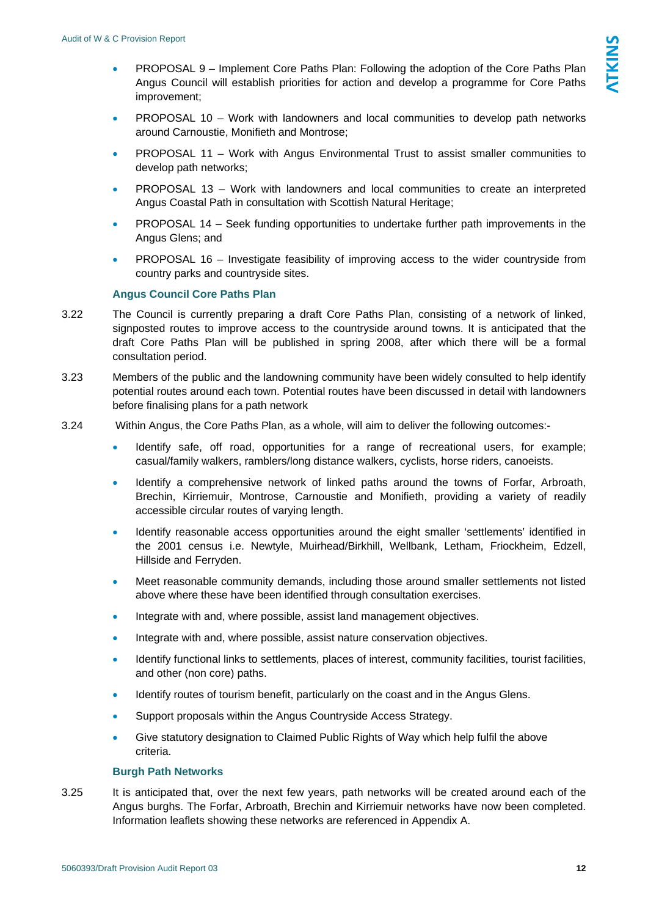- PROPOSAL 9 Implement Core Paths Plan: Following the adoption of the Core Paths Plan Angus Council will establish priorities for action and develop a programme for Core Paths improvement;
- PROPOSAL 10 Work with landowners and local communities to develop path networks around Carnoustie, Monifieth and Montrose;
- PROPOSAL 11 Work with Angus Environmental Trust to assist smaller communities to develop path networks;
- PROPOSAL 13 Work with landowners and local communities to create an interpreted Angus Coastal Path in consultation with Scottish Natural Heritage;
- PROPOSAL 14 Seek funding opportunities to undertake further path improvements in the Angus Glens; and
- PROPOSAL 16 Investigate feasibility of improving access to the wider countryside from country parks and countryside sites.

### **Angus Council Core Paths Plan**

- 3.22 The Council is currently preparing a draft Core Paths Plan, consisting of a network of linked, signposted routes to improve access to the countryside around towns. It is anticipated that the draft Core Paths Plan will be published in spring 2008, after which there will be a formal consultation period.
- 3.23 Members of the public and the landowning community have been widely consulted to help identify potential routes around each town. Potential routes have been discussed in detail with landowners before finalising plans for a path network
- 3.24 Within Angus, the Core Paths Plan, as a whole, will aim to deliver the following outcomes:-
	- Identify safe, off road, opportunities for a range of recreational users, for example; casual/family walkers, ramblers/long distance walkers, cyclists, horse riders, canoeists.
	- Identify a comprehensive network of linked paths around the towns of Forfar, Arbroath, Brechin, Kirriemuir, Montrose, Carnoustie and Monifieth, providing a variety of readily accessible circular routes of varying length.
	- Identify reasonable access opportunities around the eight smaller 'settlements' identified in the 2001 census i.e. Newtyle, Muirhead/Birkhill, Wellbank, Letham, Friockheim, Edzell, Hillside and Ferryden.
	- Meet reasonable community demands, including those around smaller settlements not listed above where these have been identified through consultation exercises.
	- Integrate with and, where possible, assist land management objectives.
	- Integrate with and, where possible, assist nature conservation objectives.
	- Identify functional links to settlements, places of interest, community facilities, tourist facilities, and other (non core) paths.
	- Identify routes of tourism benefit, particularly on the coast and in the Angus Glens.
	- Support proposals within the Angus Countryside Access Strategy.
	- Give statutory designation to Claimed Public Rights of Way which help fulfil the above criteria.

#### **Burgh Path Networks**

3.25 It is anticipated that, over the next few years, path networks will be created around each of the Angus burghs. The Forfar, Arbroath, Brechin and Kirriemuir networks have now been completed. Information leaflets showing these networks are referenced in Appendix A.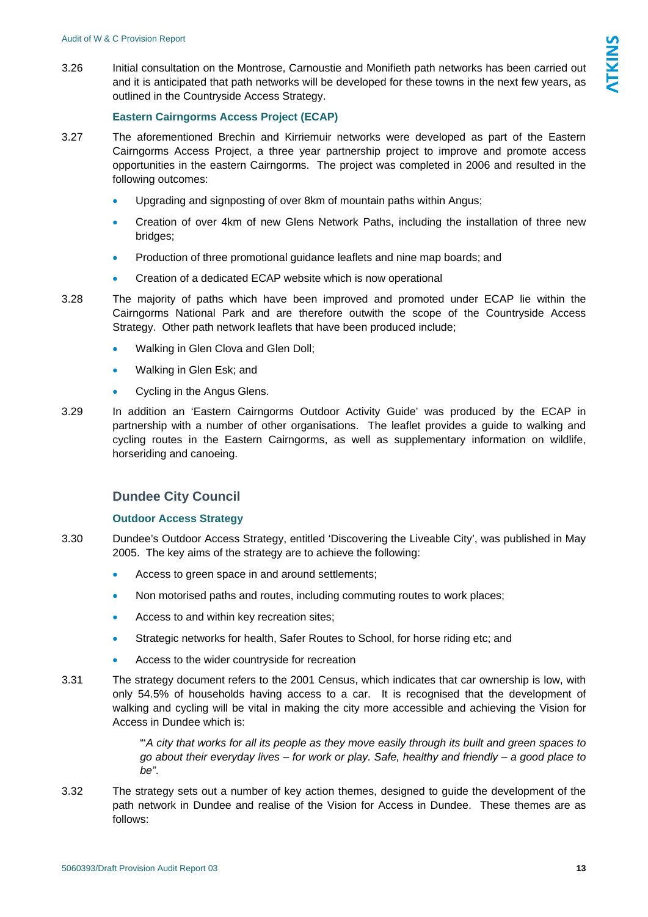and it is anticipated that path networks will be developed for these towns in the next few years, as outlined in the Countryside Access Strategy.

#### **Eastern Cairngorms Access Project (ECAP)**

3.27 The aforementioned Brechin and Kirriemuir networks were developed as part of the Eastern Cairngorms Access Project, a three year partnership project to improve and promote access opportunities in the eastern Cairngorms. The project was completed in 2006 and resulted in the following outcomes:

3.26 Initial consultation on the Montrose, Carnoustie and Monifieth path networks has been carried out

- Upgrading and signposting of over 8km of mountain paths within Angus;
- Creation of over 4km of new Glens Network Paths, including the installation of three new bridges;
- Production of three promotional guidance leaflets and nine map boards; and
- Creation of a dedicated ECAP website which is now operational

3.28 The majority of paths which have been improved and promoted under ECAP lie within the Cairngorms National Park and are therefore outwith the scope of the Countryside Access Strategy. Other path network leaflets that have been produced include;

- Walking in Glen Clova and Glen Doll;
- Walking in Glen Esk; and
- Cycling in the Angus Glens.
- 3.29 In addition an 'Eastern Cairngorms Outdoor Activity Guide' was produced by the ECAP in partnership with a number of other organisations. The leaflet provides a guide to walking and cycling routes in the Eastern Cairngorms, as well as supplementary information on wildlife, horseriding and canoeing.

### **Dundee City Council**

#### **Outdoor Access Strategy**

- 3.30 Dundee's Outdoor Access Strategy, entitled 'Discovering the Liveable City', was published in May 2005. The key aims of the strategy are to achieve the following:
	- Access to green space in and around settlements;
	- Non motorised paths and routes, including commuting routes to work places;
	- Access to and within key recreation sites;
	- Strategic networks for health, Safer Routes to School, for horse riding etc; and
	- Access to the wider countryside for recreation
- 3.31 The strategy document refers to the 2001 Census, which indicates that car ownership is low, with only 54.5% of households having access to a car. It is recognised that the development of walking and cycling will be vital in making the city more accessible and achieving the Vision for Access in Dundee which is:

"'*A city that works for all its people as they move easily through its built and green spaces to go about their everyday lives – for work or play. Safe, healthy and friendly – a good place to be"*.

3.32 The strategy sets out a number of key action themes, designed to guide the development of the path network in Dundee and realise of the Vision for Access in Dundee. These themes are as follows: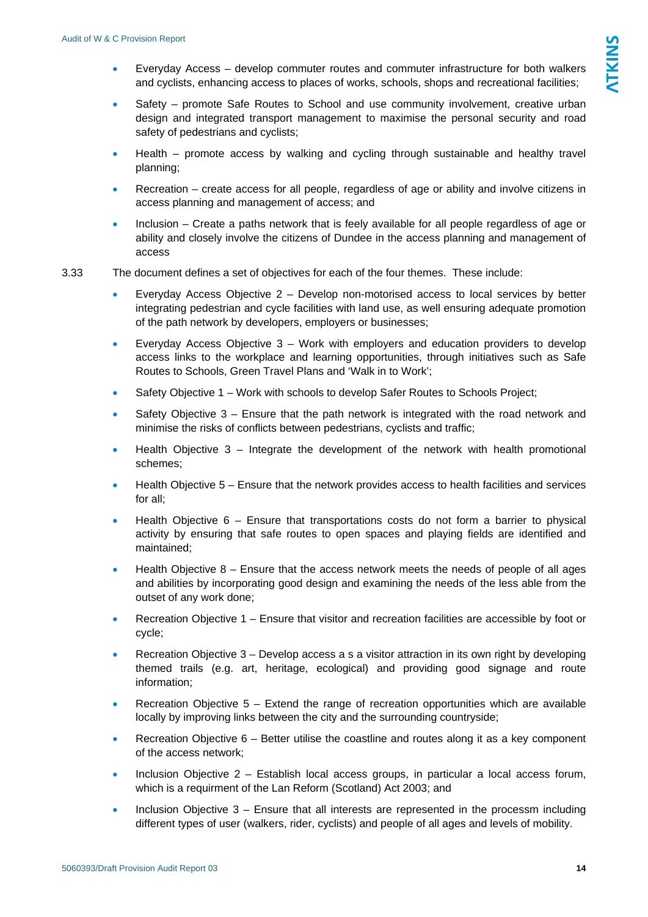- Everyday Access develop commuter routes and commuter infrastructure for both walkers and cyclists, enhancing access to places of works, schools, shops and recreational facilities;
- Safety promote Safe Routes to School and use community involvement, creative urban design and integrated transport management to maximise the personal security and road safety of pedestrians and cyclists;
- Health promote access by walking and cycling through sustainable and healthy travel planning;
- Recreation create access for all people, regardless of age or ability and involve citizens in access planning and management of access; and
- Inclusion Create a paths network that is feely available for all people regardless of age or ability and closely involve the citizens of Dundee in the access planning and management of access
- 3.33 The document defines a set of objectives for each of the four themes. These include:
	- Everyday Access Objective 2 Develop non-motorised access to local services by better integrating pedestrian and cycle facilities with land use, as well ensuring adequate promotion of the path network by developers, employers or businesses;
	- Everyday Access Objective 3 Work with employers and education providers to develop access links to the workplace and learning opportunities, through initiatives such as Safe Routes to Schools, Green Travel Plans and 'Walk in to Work';
	- Safety Objective 1 Work with schools to develop Safer Routes to Schools Project;
	- Safety Objective 3 Ensure that the path network is integrated with the road network and minimise the risks of conflicts between pedestrians, cyclists and traffic;
	- Health Objective  $3$  Integrate the development of the network with health promotional schemes;
	- Health Objective 5 Ensure that the network provides access to health facilities and services for all;
	- Health Objective  $6$  Ensure that transportations costs do not form a barrier to physical activity by ensuring that safe routes to open spaces and playing fields are identified and maintained;
	- $\bullet$  Health Objective  $8$  Ensure that the access network meets the needs of people of all ages and abilities by incorporating good design and examining the needs of the less able from the outset of any work done;
	- Recreation Objective 1 Ensure that visitor and recreation facilities are accessible by foot or cycle;
	- Recreation Objective 3 Develop access a s a visitor attraction in its own right by developing themed trails (e.g. art, heritage, ecological) and providing good signage and route information;
	- Recreation Objective  $5 -$  Extend the range of recreation opportunities which are available locally by improving links between the city and the surrounding countryside;
	- Recreation Objective  $6 -$  Better utilise the coastline and routes along it as a key component of the access network;
	- Inclusion Objective 2 Establish local access groups, in particular a local access forum, which is a requirment of the Lan Reform (Scotland) Act 2003; and
	- Inclusion Objective  $3$  Ensure that all interests are represented in the processm including different types of user (walkers, rider, cyclists) and people of all ages and levels of mobility.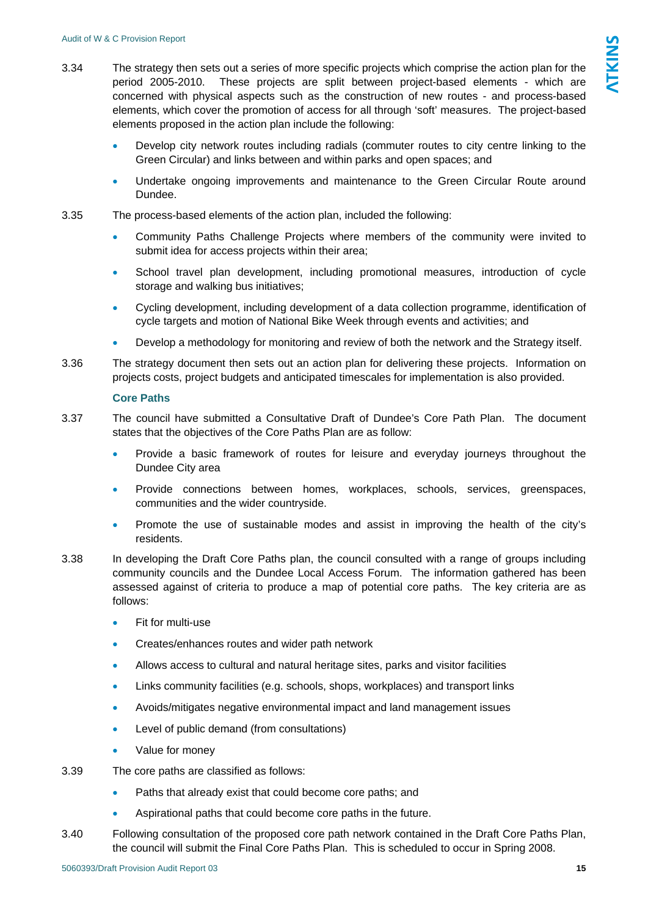- 3.34 The strategy then sets out a series of more specific projects which comprise the action plan for the period 2005-2010. These projects are split between project-based elements - which are concerned with physical aspects such as the construction of new routes - and process-based elements, which cover the promotion of access for all through 'soft' measures. The project-based elements proposed in the action plan include the following:
	- Develop city network routes including radials (commuter routes to city centre linking to the Green Circular) and links between and within parks and open spaces; and
	- Undertake ongoing improvements and maintenance to the Green Circular Route around Dundee.
- 3.35 The process-based elements of the action plan, included the following:
	- Community Paths Challenge Projects where members of the community were invited to submit idea for access projects within their area;
	- School travel plan development, including promotional measures, introduction of cycle storage and walking bus initiatives;
	- Cycling development, including development of a data collection programme, identification of cycle targets and motion of National Bike Week through events and activities; and
	- Develop a methodology for monitoring and review of both the network and the Strategy itself.
- 3.36 The strategy document then sets out an action plan for delivering these projects. Information on projects costs, project budgets and anticipated timescales for implementation is also provided.

#### **Core Paths**

- 3.37 The council have submitted a Consultative Draft of Dundee's Core Path Plan. The document states that the objectives of the Core Paths Plan are as follow:
	- Provide a basic framework of routes for leisure and everyday journeys throughout the Dundee City area
	- Provide connections between homes, workplaces, schools, services, greenspaces, communities and the wider countryside.
	- Promote the use of sustainable modes and assist in improving the health of the city's residents.
- 3.38 In developing the Draft Core Paths plan, the council consulted with a range of groups including community councils and the Dundee Local Access Forum. The information gathered has been assessed against of criteria to produce a map of potential core paths. The key criteria are as follows:
	- Fit for multi-use
	- Creates/enhances routes and wider path network
	- Allows access to cultural and natural heritage sites, parks and visitor facilities
	- Links community facilities (e.g. schools, shops, workplaces) and transport links
	- Avoids/mitigates negative environmental impact and land management issues
	- Level of public demand (from consultations)
	- Value for money
- 3.39 The core paths are classified as follows:
	- Paths that already exist that could become core paths; and
	- Aspirational paths that could become core paths in the future.
- 3.40 Following consultation of the proposed core path network contained in the Draft Core Paths Plan, the council will submit the Final Core Paths Plan. This is scheduled to occur in Spring 2008.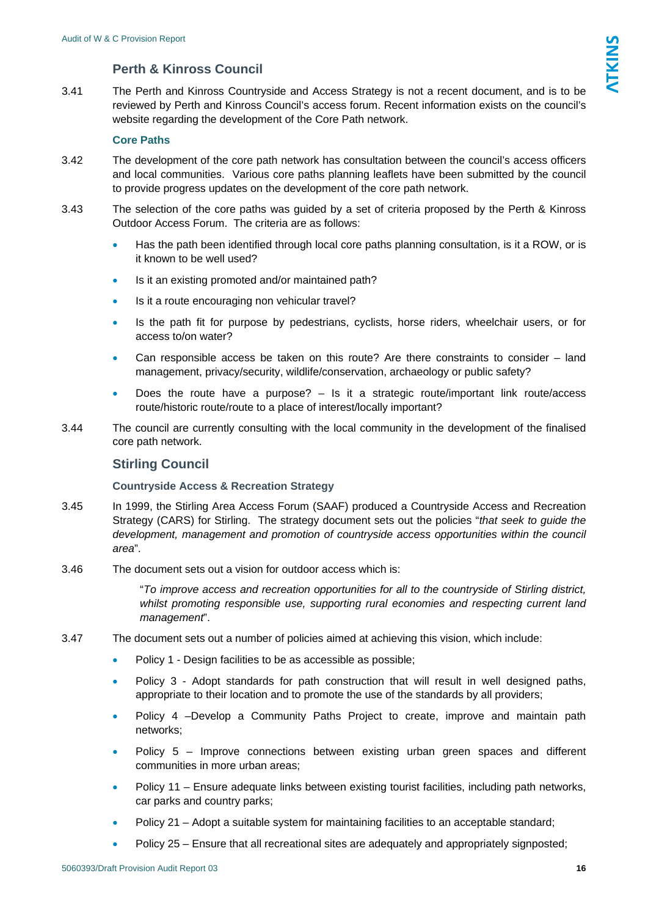# **Perth & Kinross Council**

3.41 The Perth and Kinross Countryside and Access Strategy is not a recent document, and is to be reviewed by Perth and Kinross Council's access forum. Recent information exists on the council's website regarding the development of the Core Path network.

## **Core Paths**

- 3.42 The development of the core path network has consultation between the council's access officers and local communities. Various core paths planning leaflets have been submitted by the council to provide progress updates on the development of the core path network.
- 3.43 The selection of the core paths was guided by a set of criteria proposed by the Perth & Kinross Outdoor Access Forum. The criteria are as follows:
	- Has the path been identified through local core paths planning consultation, is it a ROW, or is it known to be well used?
	- Is it an existing promoted and/or maintained path?
	- Is it a route encouraging non vehicular travel?
	- Is the path fit for purpose by pedestrians, cyclists, horse riders, wheelchair users, or for access to/on water?
	- Can responsible access be taken on this route? Are there constraints to consider land management, privacy/security, wildlife/conservation, archaeology or public safety?
	- Does the route have a purpose?  $-$  Is it a strategic route/important link route/access route/historic route/route to a place of interest/locally important?
- 3.44 The council are currently consulting with the local community in the development of the finalised core path network.

## **Stirling Council**

### **Countryside Access & Recreation Strategy**

- 3.45 In 1999, the Stirling Area Access Forum (SAAF) produced a Countryside Access and Recreation Strategy (CARS) for Stirling. The strategy document sets out the policies "*that seek to guide the development, management and promotion of countryside access opportunities within the council area*".
- 3.46 The document sets out a vision for outdoor access which is:

"*To improve access and recreation opportunities for all to the countryside of Stirling district, whilst promoting responsible use, supporting rural economies and respecting current land management*".

- 3.47 The document sets out a number of policies aimed at achieving this vision, which include:
	- Policy 1 Design facilities to be as accessible as possible;
	- Policy 3 Adopt standards for path construction that will result in well designed paths, appropriate to their location and to promote the use of the standards by all providers;
	- Policy 4 -Develop a Community Paths Project to create, improve and maintain path networks;
	- Policy 5 Improve connections between existing urban green spaces and different communities in more urban areas;
	- Policy 11 Ensure adequate links between existing tourist facilities, including path networks, car parks and country parks;
	- Policy 21 Adopt a suitable system for maintaining facilities to an acceptable standard;
	- Policy 25 Ensure that all recreational sites are adequately and appropriately signposted;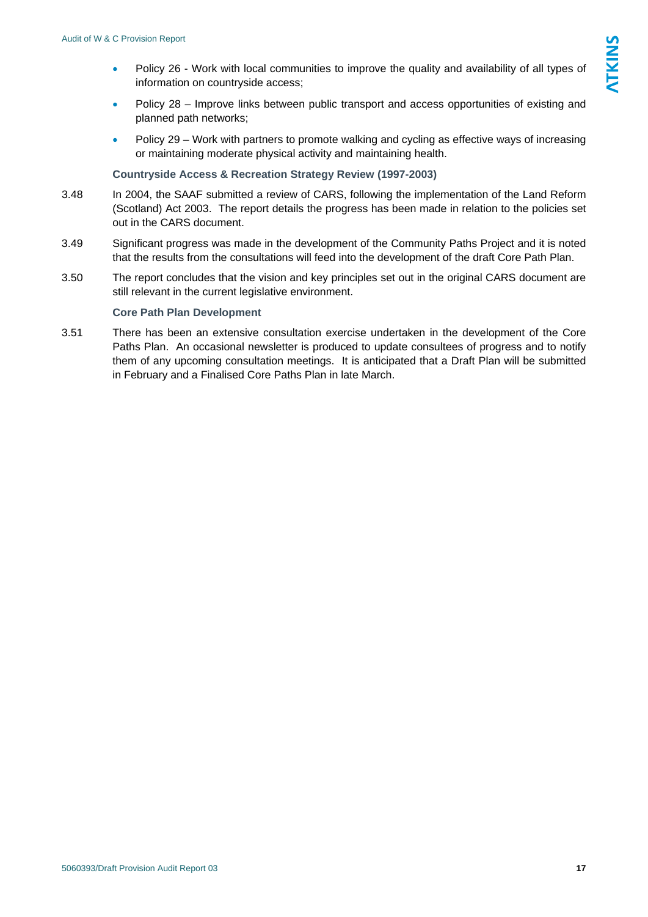- Policy 26 Work with local communities to improve the quality and availability of all types of information on countryside access;
- Policy 28 Improve links between public transport and access opportunities of existing and planned path networks;
- Policy 29 Work with partners to promote walking and cycling as effective ways of increasing or maintaining moderate physical activity and maintaining health.

#### **Countryside Access & Recreation Strategy Review (1997-2003)**

- 3.48 In 2004, the SAAF submitted a review of CARS, following the implementation of the Land Reform (Scotland) Act 2003. The report details the progress has been made in relation to the policies set out in the CARS document.
- 3.49 Significant progress was made in the development of the Community Paths Project and it is noted that the results from the consultations will feed into the development of the draft Core Path Plan.
- 3.50 The report concludes that the vision and key principles set out in the original CARS document are still relevant in the current legislative environment.

#### **Core Path Plan Development**

3.51 There has been an extensive consultation exercise undertaken in the development of the Core Paths Plan. An occasional newsletter is produced to update consultees of progress and to notify them of any upcoming consultation meetings. It is anticipated that a Draft Plan will be submitted in February and a Finalised Core Paths Plan in late March.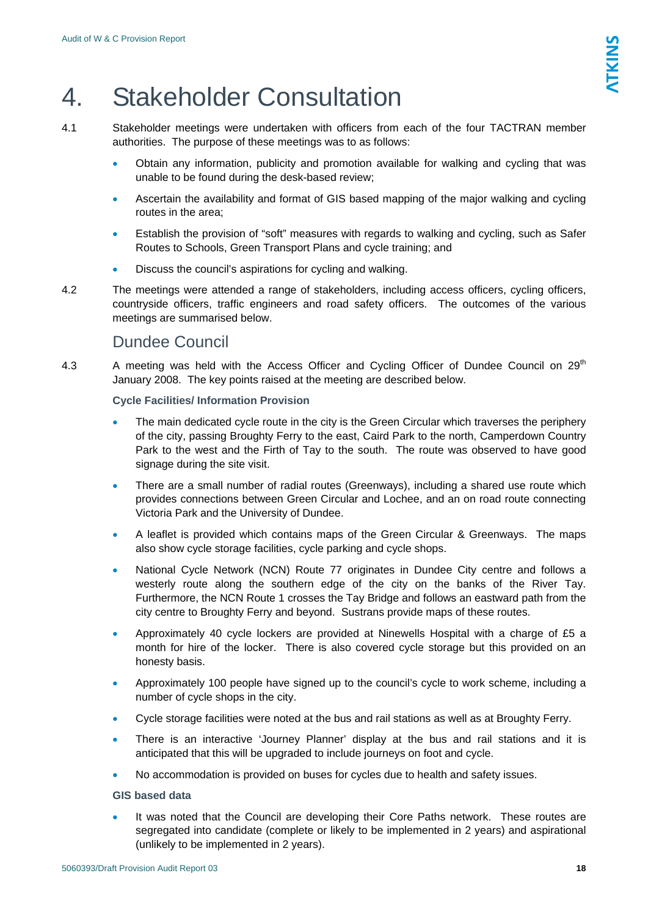# <span id="page-17-0"></span>4. Stakeholder Consultation

- 4.1 Stakeholder meetings were undertaken with officers from each of the four TACTRAN member authorities. The purpose of these meetings was to as follows:
	- Obtain any information, publicity and promotion available for walking and cycling that was unable to be found during the desk-based review;
	- Ascertain the availability and format of GIS based mapping of the major walking and cycling routes in the area;
	- Establish the provision of "soft" measures with regards to walking and cycling, such as Safer Routes to Schools, Green Transport Plans and cycle training; and
	- Discuss the council's aspirations for cycling and walking.
- 4.2 The meetings were attended a range of stakeholders, including access officers, cycling officers, countryside officers, traffic engineers and road safety officers. The outcomes of the various meetings are summarised below.

# Dundee Council

4.3 A meeting was held with the Access Officer and Cycling Officer of Dundee Council on 29<sup>th</sup> January 2008. The key points raised at the meeting are described below.

## **Cycle Facilities/ Information Provision**

- The main dedicated cycle route in the city is the Green Circular which traverses the periphery of the city, passing Broughty Ferry to the east, Caird Park to the north, Camperdown Country Park to the west and the Firth of Tay to the south. The route was observed to have good signage during the site visit.
- There are a small number of radial routes (Greenways), including a shared use route which provides connections between Green Circular and Lochee, and an on road route connecting Victoria Park and the University of Dundee.
- A leaflet is provided which contains maps of the Green Circular & Greenways. The maps also show cycle storage facilities, cycle parking and cycle shops.
- National Cycle Network (NCN) Route 77 originates in Dundee City centre and follows a westerly route along the southern edge of the city on the banks of the River Tay. Furthermore, the NCN Route 1 crosses the Tay Bridge and follows an eastward path from the city centre to Broughty Ferry and beyond. Sustrans provide maps of these routes.
- Approximately 40 cycle lockers are provided at Ninewells Hospital with a charge of £5 a month for hire of the locker. There is also covered cycle storage but this provided on an honesty basis.
- Approximately 100 people have signed up to the council's cycle to work scheme, including a number of cycle shops in the city.
- Cycle storage facilities were noted at the bus and rail stations as well as at Broughty Ferry.
- There is an interactive 'Journey Planner' display at the bus and rail stations and it is anticipated that this will be upgraded to include journeys on foot and cycle.
- No accommodation is provided on buses for cycles due to health and safety issues.

## **GIS based data**

It was noted that the Council are developing their Core Paths network. These routes are segregated into candidate (complete or likely to be implemented in 2 years) and aspirational (unlikely to be implemented in 2 years).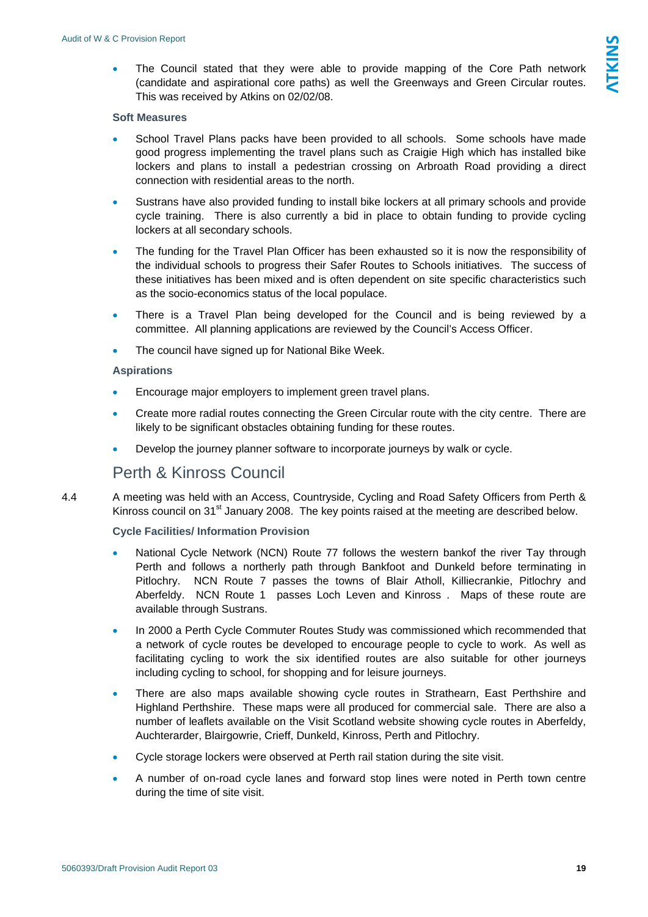<span id="page-18-0"></span>The Council stated that they were able to provide mapping of the Core Path network (candidate and aspirational core paths) as well the Greenways and Green Circular routes. This was received by Atkins on 02/02/08.

#### **Soft Measures**

- School Travel Plans packs have been provided to all schools. Some schools have made good progress implementing the travel plans such as Craigie High which has installed bike lockers and plans to install a pedestrian crossing on Arbroath Road providing a direct connection with residential areas to the north.
- Sustrans have also provided funding to install bike lockers at all primary schools and provide cycle training. There is also currently a bid in place to obtain funding to provide cycling lockers at all secondary schools.
- The funding for the Travel Plan Officer has been exhausted so it is now the responsibility of the individual schools to progress their Safer Routes to Schools initiatives. The success of these initiatives has been mixed and is often dependent on site specific characteristics such as the socio-economics status of the local populace.
- There is a Travel Plan being developed for the Council and is being reviewed by a committee. All planning applications are reviewed by the Council's Access Officer.
- The council have signed up for National Bike Week.

#### **Aspirations**

- Encourage major employers to implement green travel plans.
- Create more radial routes connecting the Green Circular route with the city centre. There are likely to be significant obstacles obtaining funding for these routes.
- Develop the journey planner software to incorporate journeys by walk or cycle.

# Perth & Kinross Council

4.4 A meeting was held with an Access, Countryside, Cycling and Road Safety Officers from Perth & Kinross council on 31<sup>st</sup> January 2008. The key points raised at the meeting are described below.

#### **Cycle Facilities/ Information Provision**

- National Cycle Network (NCN) Route 77 follows the western bankof the river Tay through Perth and follows a northerly path through Bankfoot and Dunkeld before terminating in Pitlochry. NCN Route 7 passes the towns of Blair Atholl, Killiecrankie, Pitlochry and Aberfeldy. NCN Route 1 passes Loch Leven and Kinross . Maps of these route are available through Sustrans.
- In 2000 a Perth Cycle Commuter Routes Study was commissioned which recommended that a network of cycle routes be developed to encourage people to cycle to work. As well as facilitating cycling to work the six identified routes are also suitable for other journeys including cycling to school, for shopping and for leisure journeys.
- There are also maps available showing cycle routes in Strathearn, East Perthshire and Highland Perthshire. These maps were all produced for commercial sale. There are also a number of leaflets available on the Visit Scotland website showing cycle routes in Aberfeldy, Auchterarder, Blairgowrie, Crieff, Dunkeld, Kinross, Perth and Pitlochry.
- Cycle storage lockers were observed at Perth rail station during the site visit.
- A number of on-road cycle lanes and forward stop lines were noted in Perth town centre during the time of site visit.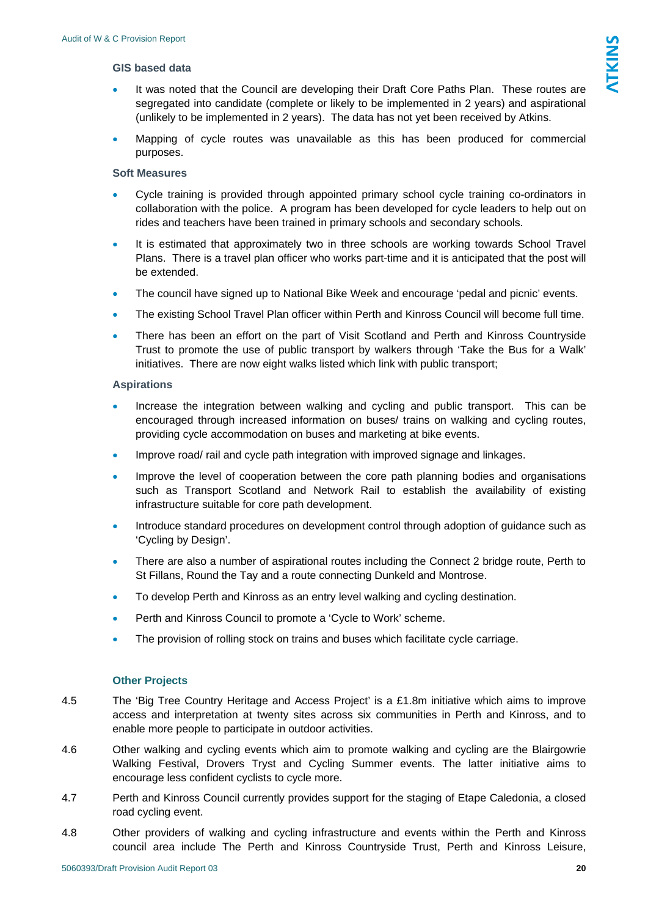#### **GIS based data**

- It was noted that the Council are developing their Draft Core Paths Plan. These routes are segregated into candidate (complete or likely to be implemented in 2 years) and aspirational (unlikely to be implemented in 2 years). The data has not yet been received by Atkins.
- Mapping of cycle routes was unavailable as this has been produced for commercial purposes.

#### **Soft Measures**

- Cycle training is provided through appointed primary school cycle training co-ordinators in collaboration with the police. A program has been developed for cycle leaders to help out on rides and teachers have been trained in primary schools and secondary schools.
- It is estimated that approximately two in three schools are working towards School Travel Plans. There is a travel plan officer who works part-time and it is anticipated that the post will be extended.
- The council have signed up to National Bike Week and encourage 'pedal and picnic' events.
- The existing School Travel Plan officer within Perth and Kinross Council will become full time.
- There has been an effort on the part of Visit Scotland and Perth and Kinross Countryside Trust to promote the use of public transport by walkers through 'Take the Bus for a Walk' initiatives. There are now eight walks listed which link with public transport;

#### **Aspirations**

- Increase the integration between walking and cycling and public transport. This can be encouraged through increased information on buses/ trains on walking and cycling routes, providing cycle accommodation on buses and marketing at bike events.
- Improve road/ rail and cycle path integration with improved signage and linkages.
- Improve the level of cooperation between the core path planning bodies and organisations such as Transport Scotland and Network Rail to establish the availability of existing infrastructure suitable for core path development.
- Introduce standard procedures on development control through adoption of guidance such as 'Cycling by Design'.
- There are also a number of aspirational routes including the Connect 2 bridge route, Perth to St Fillans, Round the Tay and a route connecting Dunkeld and Montrose.
- To develop Perth and Kinross as an entry level walking and cycling destination.
- Perth and Kinross Council to promote a 'Cycle to Work' scheme.
- The provision of rolling stock on trains and buses which facilitate cycle carriage.

#### **Other Projects**

- 4.5 The 'Big Tree Country Heritage and Access Project' is a £1.8m initiative which aims to improve access and interpretation at twenty sites across six communities in Perth and Kinross, and to enable more people to participate in outdoor activities.
- 4.6 Other walking and cycling events which aim to promote walking and cycling are the Blairgowrie Walking Festival, Drovers Tryst and Cycling Summer events. The latter initiative aims to encourage less confident cyclists to cycle more.
- 4.7 Perth and Kinross Council currently provides support for the staging of Etape Caledonia, a closed road cycling event.
- 4.8 Other providers of walking and cycling infrastructure and events within the Perth and Kinross council area include The Perth and Kinross Countryside Trust, Perth and Kinross Leisure,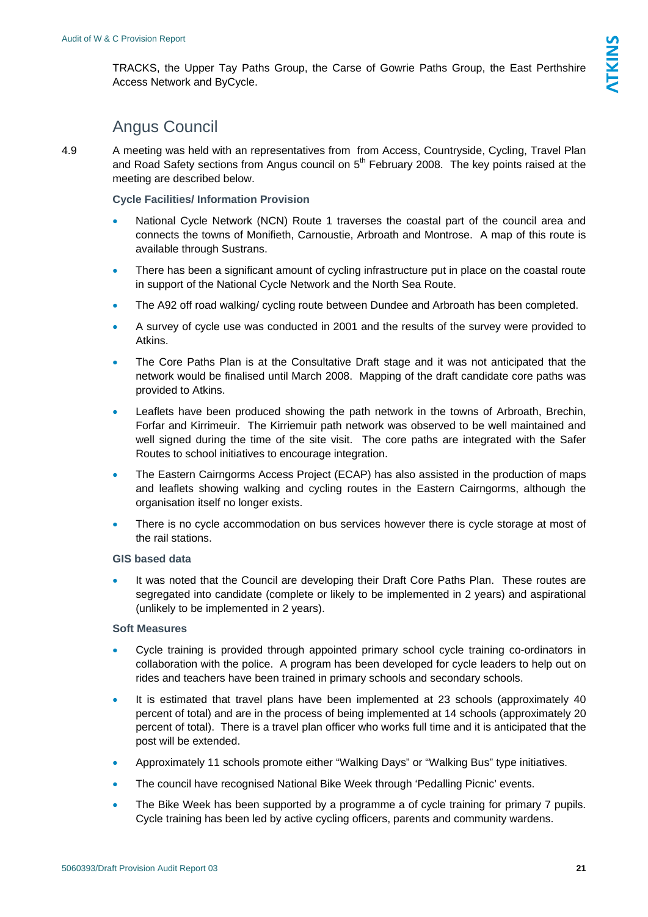# Angus Council

<span id="page-20-0"></span>4.9 A meeting was held with an representatives from from Access, Countryside, Cycling, Travel Plan and Road Safety sections from Angus council on 5<sup>th</sup> February 2008. The key points raised at the meeting are described below.

**Cycle Facilities/ Information Provision** 

- National Cycle Network (NCN) Route 1 traverses the coastal part of the council area and connects the towns of Monifieth, Carnoustie, Arbroath and Montrose. A map of this route is available through Sustrans.
- There has been a significant amount of cycling infrastructure put in place on the coastal route in support of the National Cycle Network and the North Sea Route.
- The A92 off road walking/ cycling route between Dundee and Arbroath has been completed.
- A survey of cycle use was conducted in 2001 and the results of the survey were provided to Atkins.
- The Core Paths Plan is at the Consultative Draft stage and it was not anticipated that the network would be finalised until March 2008. Mapping of the draft candidate core paths was provided to Atkins.
- Leaflets have been produced showing the path network in the towns of Arbroath, Brechin, Forfar and Kirrimeuir. The Kirriemuir path network was observed to be well maintained and well signed during the time of the site visit. The core paths are integrated with the Safer Routes to school initiatives to encourage integration.
- The Eastern Cairngorms Access Project (ECAP) has also assisted in the production of maps and leaflets showing walking and cycling routes in the Eastern Cairngorms, although the organisation itself no longer exists.
- There is no cycle accommodation on bus services however there is cycle storage at most of the rail stations.

#### **GIS based data**

It was noted that the Council are developing their Draft Core Paths Plan. These routes are segregated into candidate (complete or likely to be implemented in 2 years) and aspirational (unlikely to be implemented in 2 years).

### **Soft Measures**

- Cycle training is provided through appointed primary school cycle training co-ordinators in collaboration with the police. A program has been developed for cycle leaders to help out on rides and teachers have been trained in primary schools and secondary schools.
- It is estimated that travel plans have been implemented at 23 schools (approximately 40 percent of total) and are in the process of being implemented at 14 schools (approximately 20 percent of total). There is a travel plan officer who works full time and it is anticipated that the post will be extended.
- Approximately 11 schools promote either "Walking Days" or "Walking Bus" type initiatives.
- The council have recognised National Bike Week through 'Pedalling Picnic' events.
- The Bike Week has been supported by a programme a of cycle training for primary 7 pupils. Cycle training has been led by active cycling officers, parents and community wardens.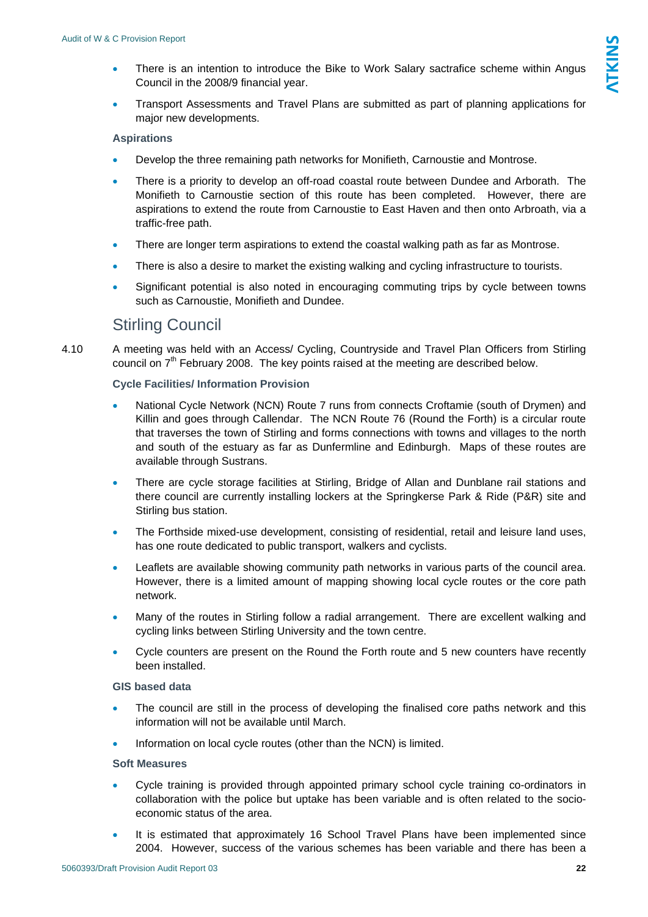- <span id="page-21-0"></span>• There is an intention to introduce the Bike to Work Salary sactrafice scheme within Angus Council in the 2008/9 financial year.
- Transport Assessments and Travel Plans are submitted as part of planning applications for major new developments.

#### **Aspirations**

- Develop the three remaining path networks for Monifieth, Carnoustie and Montrose.
- There is a priority to develop an off-road coastal route between Dundee and Arborath. The Monifieth to Carnoustie section of this route has been completed. However, there are aspirations to extend the route from Carnoustie to East Haven and then onto Arbroath, via a traffic-free path.
- There are longer term aspirations to extend the coastal walking path as far as Montrose.
- There is also a desire to market the existing walking and cycling infrastructure to tourists.
- Significant potential is also noted in encouraging commuting trips by cycle between towns such as Carnoustie, Monifieth and Dundee.

## Stirling Council

4.10 A meeting was held with an Access/ Cycling, Countryside and Travel Plan Officers from Stirling council on  $7<sup>th</sup>$  February 2008. The key points raised at the meeting are described below.

#### **Cycle Facilities/ Information Provision**

- National Cycle Network (NCN) Route 7 runs from connects Croftamie (south of Drymen) and Killin and goes through Callendar. The NCN Route 76 (Round the Forth) is a circular route that traverses the town of Stirling and forms connections with towns and villages to the north and south of the estuary as far as Dunfermline and Edinburgh. Maps of these routes are available through Sustrans.
- There are cycle storage facilities at Stirling, Bridge of Allan and Dunblane rail stations and there council are currently installing lockers at the Springkerse Park & Ride (P&R) site and Stirling bus station.
- The Forthside mixed-use development, consisting of residential, retail and leisure land uses, has one route dedicated to public transport, walkers and cyclists.
- Leaflets are available showing community path networks in various parts of the council area. However, there is a limited amount of mapping showing local cycle routes or the core path network.
- Many of the routes in Stirling follow a radial arrangement. There are excellent walking and cycling links between Stirling University and the town centre.
- Cycle counters are present on the Round the Forth route and 5 new counters have recently been installed.

#### **GIS based data**

- The council are still in the process of developing the finalised core paths network and this information will not be available until March.
- Information on local cycle routes (other than the NCN) is limited.

#### **Soft Measures**

- Cycle training is provided through appointed primary school cycle training co-ordinators in collaboration with the police but uptake has been variable and is often related to the socioeconomic status of the area.
- It is estimated that approximately 16 School Travel Plans have been implemented since 2004. However, success of the various schemes has been variable and there has been a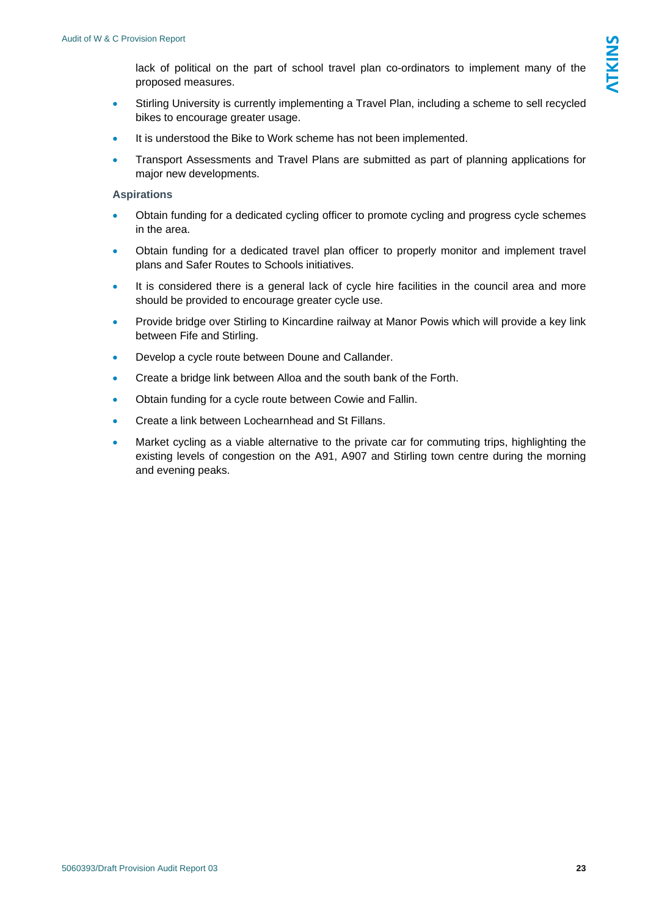lack of political on the part of school travel plan co-ordinators to implement many of the proposed measures.

- Stirling University is currently implementing a Travel Plan, including a scheme to sell recycled bikes to encourage greater usage.
- It is understood the Bike to Work scheme has not been implemented.
- Transport Assessments and Travel Plans are submitted as part of planning applications for major new developments.

#### **Aspirations**

- Obtain funding for a dedicated cycling officer to promote cycling and progress cycle schemes in the area.
- Obtain funding for a dedicated travel plan officer to properly monitor and implement travel plans and Safer Routes to Schools initiatives.
- It is considered there is a general lack of cycle hire facilities in the council area and more should be provided to encourage greater cycle use.
- Provide bridge over Stirling to Kincardine railway at Manor Powis which will provide a key link between Fife and Stirling.
- Develop a cycle route between Doune and Callander.
- Create a bridge link between Alloa and the south bank of the Forth.
- Obtain funding for a cycle route between Cowie and Fallin.
- Create a link between Lochearnhead and St Fillans.
- Market cycling as a viable alternative to the private car for commuting trips, highlighting the existing levels of congestion on the A91, A907 and Stirling town centre during the morning and evening peaks.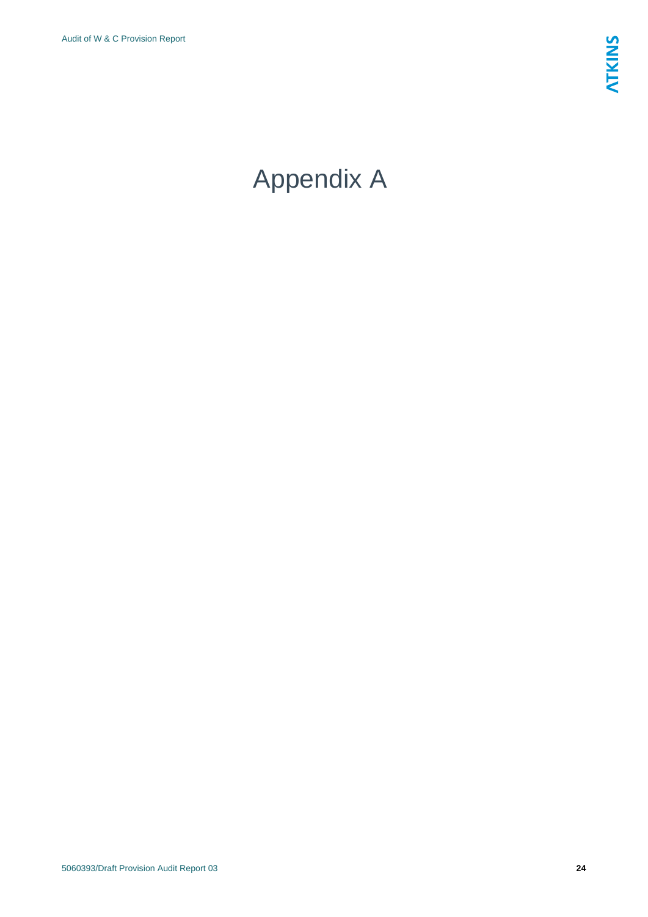# <span id="page-23-0"></span>Appendix A

5060393/Draft Provision Audit Report 03 **24**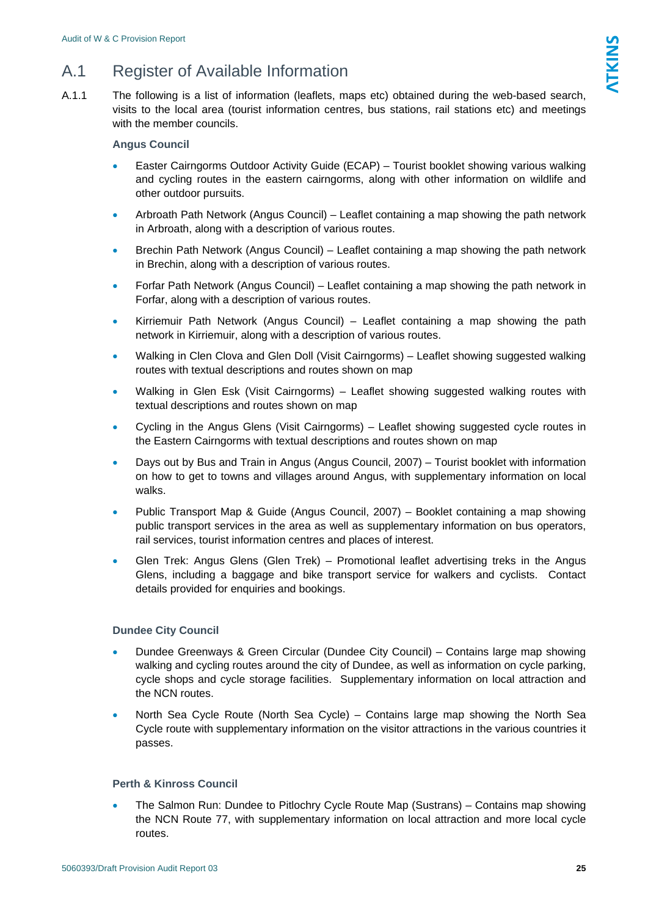# <span id="page-24-0"></span>A.1 Register of Available Information

A.1.1 The following is a list of information (leaflets, maps etc) obtained during the web-based search, visits to the local area (tourist information centres, bus stations, rail stations etc) and meetings with the member councils.

### **Angus Council**

- Easter Cairngorms Outdoor Activity Guide (ECAP) Tourist booklet showing various walking and cycling routes in the eastern cairngorms, along with other information on wildlife and other outdoor pursuits.
- Arbroath Path Network (Angus Council) Leaflet containing a map showing the path network in Arbroath, along with a description of various routes.
- Brechin Path Network (Angus Council) Leaflet containing a map showing the path network in Brechin, along with a description of various routes.
- Forfar Path Network (Angus Council) Leaflet containing a map showing the path network in Forfar, along with a description of various routes.
- Kirriemuir Path Network (Angus Council) Leaflet containing a map showing the path network in Kirriemuir, along with a description of various routes.
- Walking in Clen Clova and Glen Doll (Visit Cairngorms) Leaflet showing suggested walking routes with textual descriptions and routes shown on map
- Walking in Glen Esk (Visit Cairngorms) Leaflet showing suggested walking routes with textual descriptions and routes shown on map
- Cycling in the Angus Glens (Visit Cairngorms) Leaflet showing suggested cycle routes in the Eastern Cairngorms with textual descriptions and routes shown on map
- Days out by Bus and Train in Angus (Angus Council, 2007) Tourist booklet with information on how to get to towns and villages around Angus, with supplementary information on local walks.
- Public Transport Map & Guide (Angus Council, 2007) Booklet containing a map showing public transport services in the area as well as supplementary information on bus operators, rail services, tourist information centres and places of interest.
- Glen Trek: Angus Glens (Glen Trek) Promotional leaflet advertising treks in the Angus Glens, including a baggage and bike transport service for walkers and cyclists. Contact details provided for enquiries and bookings.

## **Dundee City Council**

- Dundee Greenways & Green Circular (Dundee City Council) Contains large map showing walking and cycling routes around the city of Dundee, as well as information on cycle parking, cycle shops and cycle storage facilities. Supplementary information on local attraction and the NCN routes.
- North Sea Cycle Route (North Sea Cycle) Contains large map showing the North Sea Cycle route with supplementary information on the visitor attractions in the various countries it passes.

### **Perth & Kinross Council**

• The Salmon Run: Dundee to Pitlochry Cycle Route Map (Sustrans) – Contains map showing the NCN Route 77, with supplementary information on local attraction and more local cycle routes.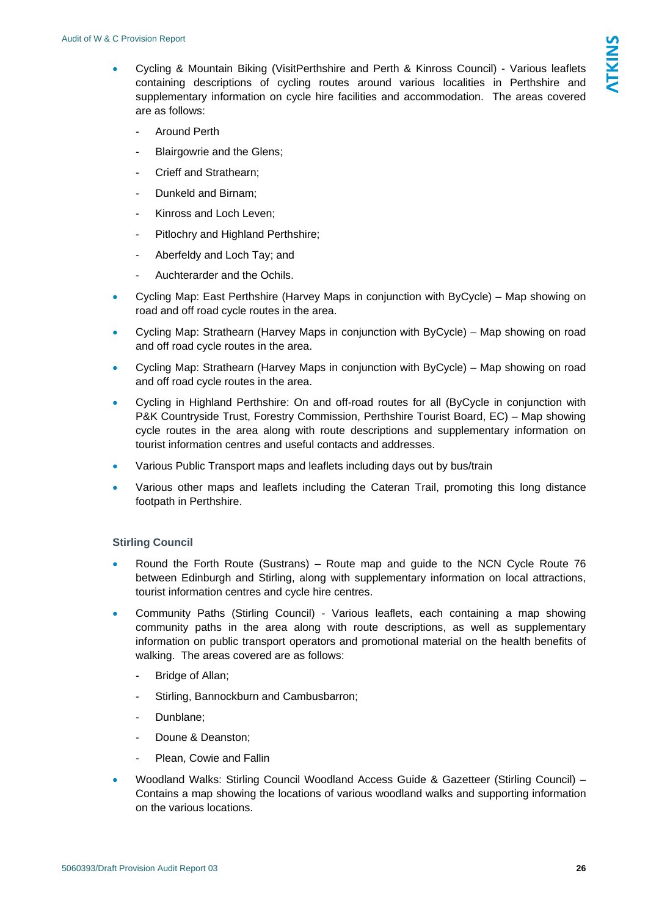- Cycling & Mountain Biking (VisitPerthshire and Perth & Kinross Council) Various leaflets containing descriptions of cycling routes around various localities in Perthshire and supplementary information on cycle hire facilities and accommodation. The areas covered are as follows:
	- Around Perth
	- Blairgowrie and the Glens;
	- Crieff and Strathearn;
	- Dunkeld and Birnam;
	- Kinross and Loch Leven;
	- Pitlochry and Highland Perthshire;
	- Aberfeldy and Loch Tay; and
	- Auchterarder and the Ochils.
- Cycling Map: East Perthshire (Harvey Maps in conjunction with ByCycle) Map showing on road and off road cycle routes in the area.
- Cycling Map: Strathearn (Harvey Maps in conjunction with ByCycle) Map showing on road and off road cycle routes in the area.
- Cycling Map: Strathearn (Harvey Maps in conjunction with ByCycle) Map showing on road and off road cycle routes in the area.
- Cycling in Highland Perthshire: On and off-road routes for all (ByCycle in conjunction with P&K Countryside Trust, Forestry Commission, Perthshire Tourist Board, EC) – Map showing cycle routes in the area along with route descriptions and supplementary information on tourist information centres and useful contacts and addresses.
- Various Public Transport maps and leaflets including days out by bus/train
- Various other maps and leaflets including the Cateran Trail, promoting this long distance footpath in Perthshire.

#### **Stirling Council**

- Round the Forth Route (Sustrans) Route map and guide to the NCN Cycle Route 76 between Edinburgh and Stirling, along with supplementary information on local attractions, tourist information centres and cycle hire centres.
- Community Paths (Stirling Council) Various leaflets, each containing a map showing community paths in the area along with route descriptions, as well as supplementary information on public transport operators and promotional material on the health benefits of walking. The areas covered are as follows:
	- Bridge of Allan;
	- Stirling, Bannockburn and Cambusbarron;
	- Dunblane;
	- Doune & Deanston:
	- Plean, Cowie and Fallin
- Woodland Walks: Stirling Council Woodland Access Guide & Gazetteer (Stirling Council) Contains a map showing the locations of various woodland walks and supporting information on the various locations.